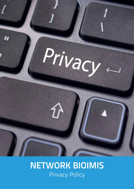

# **NETWORK BIOIMIS** Privacy Policy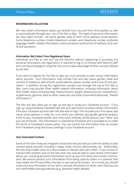#### **INFORMATION COLLECTION**

We may collect information about you directly from you and from third parties, as well as automatically through your use of the Site or App. The types of personal information we may collect include: full name, gender, date of birth, home address, email address, home telephone number, mobile telephone number, work telephone number, preferred language, health-related information, communications preferences, IP address, and user ID and password.

#### **Information We Collect From Registered Users**

Individuals are free to visit and use the Services without registering or providing any personal information, but registration is required to log-in, to interact with Bioimis staff and nutritional biologists using the Site, and to take advantage of other services offered by the Site.

If you wish to register for the Site or App, you must provide us with certain information about yourself. Such information may include: first and last name, gender, state and country of residence, date of birth, email address, phone number, and a user ID and password. In addition, during the registration process and through the use of the Site or App, users may provide other health-related information, including information about their health status including body measurements, weight, blood pressure, medications/ supplements, glycemic data or other measures, and food consumed (collectively, "Health Information").

The Site and App allow you to sign up and log in using your Facebook account. If you sign up using Facebook, Facebook will ask your permission to share certain information from your Facebook account with the Site and/or App. This includes your first name, last name, email address in order for us to verify your identity and gender, general location, a link to your Facebook profile, your time zone, birthday, profile picture, your "likes" and your list of friends. This information is collected by Facebook and is provided to us under the terms of Facebook's privacy policy. You can control the information that we receive from Facebook using the privacy settings in your Facebook account.

#### **User Generated Content**

Some of the Site's features integrate social tools that provide you with the ability to post content about yourself, including in blogs, chats, forums, testimonials, etc. Additionally, the Site may enable users to communicate or interact with each other. If you choose to interact with another user on the Site, that user may be able to view certain information about you, including personal information (such as your full name and contact information). We cannot prevent such information from being used by others in a manner that may violate this Privacy Policy, the law, or your personal privacy. As a result, you should never post any information to our Site or provide information to other users that you are not comfortable sharing publically (e.g., personal health details).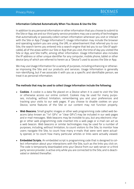

#### **Information Collected Automatically When You Access & Use the Site**

In addition to any personal information or other information that you choose to submit to the Site or App, we and our third party service providers may use a variety of technologies that automatically or passively collect certain information whenever you visit or interact with the Site or App ("Usage Information"). Usage Information may include the browser and operating system you are using, the URL or advertisement that referred you to our Site, the search terms you entered into a search engine that led you to our Site (if applicable), all of the areas within our Site or App that you visit, the time of day you visited the Site or App, and Site traffic, among other information. Usage Information also includes the IP address or other unique identifier for any computer, mobile phone, tablet or other device (any of which are referred to herein as a "Device") used to access the Site or App.

We may use Usage Information for a variety of purposes, including enhancing or otherwise improving the Site and our products and services. Usage Information is generally non-identifying, but if we associate it with you as a specific and identifiable person, we treat it as personal information.

#### **The methods that may be used to collect Usage Information include the following:**

- **• Cookies**. A cookie is a data file placed on a Device when it is used to visit the Site or otherwise access our online content. Cookies may be used for many purposes, including, without limitation, remembering you and your preferences and tracking your visits to our web pages. If you choose to disable cookies on your Device, some features of the Site or our content may not function properly.
- **• Web Beacons.** Small graphic images or other web programming code called web beacons (also known as "1x1 GIFs" or "clear GIFs") may be included in our web pages and e-mail messages. Web beacons may be invisible to you, but any electronic image or other web programming code inserted into a web page or e-mail can act as a web beacon. Web beacons or similar technologies may be used for a number of purposes, including, without limitation, to count visitors to the Site, to monitor how users navigate the Site, to count how many e-mails that were sent were actually opened, or to count how many particular articles or links were actually viewed.
- **• Embedded Scripts.** An embedded script is programming code that is designed to collect information about your interactions with the Site, such as the links you click on. The code is temporarily downloaded onto your Device from our web server or a third party service provider, is active only while you are connected to the Site, and is deactivated or deleted thereafter.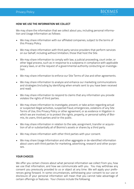

#### **HOW WE USE THE INFORMATION WE COLLECT**

We may share the information that we collect about you, including personal information and Usage Information as follows:

- We may share information with our affiliated companies, subject to the terms of this Privacy Policy.
- We may share information with third party service providers that perform services on our behalf, including without limitation, those that host the Site.
- We may share information to comply with law, a judicial proceeding, court order, or other legal process, such as in response to a subpoena in compliance with applicable privacy laws, or at the request of a governmental authority conducting an investigation.
- We may share information to enforce our Site Terms of Use and other agreements.
- We may share information to analyze and enhance our marketing communications and strategies (including by identifying when emails sent to you have been received and read).
- We may share information to respond to claims that any information you provide violates the rights of third parties.
- We may share information to investigate, prevent, or take action regarding actual or suspected illegal activities, suspected fraud, emergencies, violations of any Site Terms of Use, this Privacy Policy or other agreement, or as evidence in litigation in which we are involved, or to protect the rights, property, or personal safety of Bioimis, its users, third parties and/or the public.
- We may share information in relation to the sale, assignment, transfer or acquisition of all or substantially all of Bioimis's assets or shares by a third party.
- We may share information with other third parties with your consent.
- We may share Usage Information and other aggregate or de-identified information about users with third parties for marketing, advertising, research and other purposes.

#### **YOUR CHOICES**

We offer you certain choices about what personal information we collect from you, how we use that information, and how we communicate with you. You may withdraw any consent you previously provided to us or object at any time. We will apply your preferences going forward. In some circumstances, withdrawing your consent to our use or disclosure of your personal information will mean that you cannot take advantage of certain offerings or features. Your choices include the following: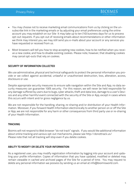• You may choose not to receive marketing email communications from us by clicking on the unsubscribe link in the marketing emails or by adjusting your email preferences using the online account you may establish on our Site It may take up to ten (10) business days for us to process opt-out requests. If you opt-out of receiving emails about recommendations or other information we think may interest you, we may still send you e-mails about your account or any services you have requested or received from us.

**BIOIMIS** 

• Most browsers will tell you how to stop accepting new cookies, how to be notified when you receive a new cookie, and how to disable existing cookies. Please note, however, that disabling cookies may cancel opt-outs that rely on cookies.

#### **SECURITY OF INFORMATION COLLECTED**

We use administrative, physical and technical safeguards to protect the personal information you provide or we collect against accidental, unlawful or unauthorized destruction, loss, alteration, access, disclosure or use.

Despite appropriate security measures to ensure safe navigation within the Site and App, no data security measures can guarantee 100% security. For this reason, we will never be held responsible for any damage suffered by users due to bugs, cyber attacks, theft and data loss, damage to a user's Devices and any other harmful event connected with the security of the Site or App, except in cases where this occurs with intent and/or gross negligence by us.

We are not responsible for the handling, sharing, re-sharing and/or distribution of your Health Information. Moreover, if you forward Health Information electronically to another person on or off the Site or App, we are not responsible for any harm or other consequences from third party use or re-sharing of your Health Information.

#### **TRACKING**

Bioimis will not respond to Web browser "do not track" signals. If you would like additional information about online tracking and various opt-out mechanisms, please see http://donottrack.us/ Please note that not all tracking will stop even if you delete cookies.

#### **ABILITY TO MODIFY OR DELETE YOUR INFORMATION**

As a registered user, you may modify registration information by logging into your account and updating your profile information. Copies of information that you have updated, modified or deleted may remain viewable in cached and archived pages of the Site for a period of time. You may request to delete any personal information we possess by sending us an email at info@bioimisworld.com.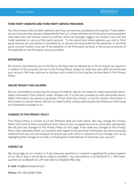

#### **THIRD PARTY WEBSITES AND THIRD PARTY SERVICE PROVIDERS**

Our Site contains links to other websites and may use services provided by third parties. These websites and services may operate independently from us. Linked websites and third party service providers may have their own privacy notices or policies, which we strongly suggest you review if you visit any linked websites or use any third party services. To the extent any linked websites you visit or third party services are not owned or controlled by us, we are not responsible for the websites' or the third party services' content, any use of the websites or the third party services, or the privacy practices of the websites or the third party service providers.

#### **RETENTIONS**

All content submitted by you to the Site or the App may be retained by us for as long as we require it in relation to the purposes set out in this Privacy Policy, subject to state law, even after you terminate your account. We may continue to disclose such content to third parties, as described in this Privacy Policy.

#### **ONLINE PRIVACY FOR CHILDREN**

We are committed to protecting the privacy of children. We do not intend to collect personally identifiable information from children under 18 years old. If a child has provided us with personally identifiable information, the parent or guardian of that child may contact us via the contact information in the Contact Us section below. We will not make further contact with anyone identified as a child based on information provided to us.

#### **CHANGES TO THIS PRIVACY POLICY**

This Privacy Policy is current as of the Effective Date set forth above. We may change this Privacy Policy from time to time, and without prior notice to you, so please be sure to check back periodically. We will post any changes to this Privacy Policy on this page. If we make any changes to this Privacy Policy that materially affect our practices with regard to the personal information we have previously collected from you, we will endeavor to provide you with notice in advance of such change, such as by highlighting the change on our Site, or emailing the email address of record for your account.

#### **CONTACT US**

We encourage you to contact us if you have any questions or concerns regarding the privacy aspects of our Site or App or would like to make a complaint. You may write to us at Bioworld S.r.l. with headquarters at via Macello 45, ZIP code 35013, Cittadella (PD), Italy.

E-mail: info@bioimisworld.com

Phone: USA 0013239271009